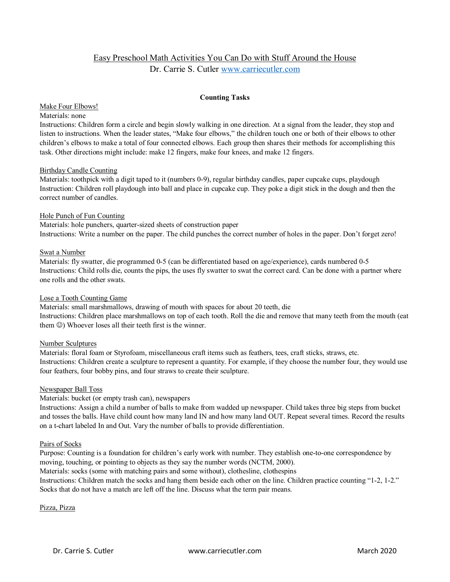# Easy Preschool Math Activities You Can Do with Stuff Around the House Dr. Carrie S. Cutler [www.carriecutler.com](http://www.carriecutler.com/)

# **Counting Tasks**

#### Make Four Elbows!

# Materials: none

Instructions: Children form a circle and begin slowly walking in one direction. At a signal from the leader, they stop and listen to instructions. When the leader states, "Make four elbows," the children touch one or both of their elbows to other children's elbows to make a total of four connected elbows. Each group then shares their methods for accomplishing this task. Other directions might include: make 12 fingers, make four knees, and make 12 fingers.

#### Birthday Candle Counting

Materials: toothpick with a digit taped to it (numbers 0-9), regular birthday candles, paper cupcake cups, playdough Instruction: Children roll playdough into ball and place in cupcake cup. They poke a digit stick in the dough and then the correct number of candles.

#### Hole Punch of Fun Counting

Materials: hole punchers, quarter-sized sheets of construction paper Instructions: Write a number on the paper. The child punches the correct number of holes in the paper. Don't forget zero!

#### Swat a Number

Materials: fly swatter, die programmed 0-5 (can be differentiated based on age/experience), cards numbered 0-5 Instructions: Child rolls die, counts the pips, the uses fly swatter to swat the correct card. Can be done with a partner where one rolls and the other swats.

# Lose a Tooth Counting Game

Materials: small marshmallows, drawing of mouth with spaces for about 20 teeth, die Instructions: Children place marshmallows on top of each tooth. Roll the die and remove that many teeth from the mouth (eat them  $\circledcirc$ ) Whoever loses all their teeth first is the winner.

# Number Sculptures

Materials: floral foam or Styrofoam, miscellaneous craft items such as feathers, tees, craft sticks, straws, etc. Instructions: Children create a sculpture to represent a quantity. For example, if they choose the number four, they would use four feathers, four bobby pins, and four straws to create their sculpture.

#### Newspaper Ball Toss

Materials: bucket (or empty trash can), newspapers

Instructions: Assign a child a number of balls to make from wadded up newspaper. Child takes three big steps from bucket and tosses the balls. Have child count how many land IN and how many land OUT. Repeat several times. Record the results on a t-chart labeled In and Out. Vary the number of balls to provide differentiation.

# Pairs of Socks

Purpose: Counting is a foundation for children's early work with number. They establish one-to-one correspondence by moving, touching, or pointing to objects as they say the number words (NCTM, 2000).

Materials: socks (some with matching pairs and some without), clothesline, clothespins Instructions: Children match the socks and hang them beside each other on the line. Children practice counting "1-2, 1-2." Socks that do not have a match are left off the line. Discuss what the term pair means.

Pizza, Pizza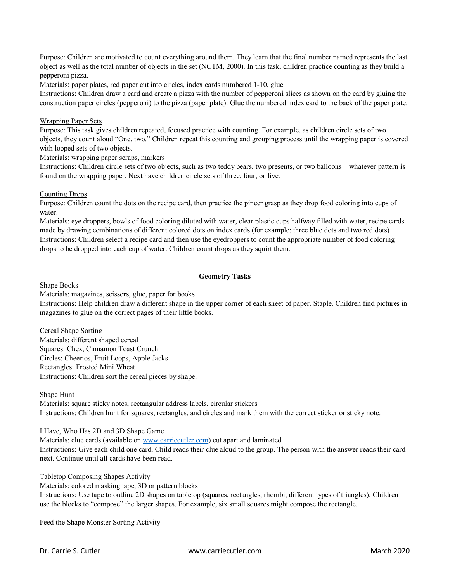Purpose: Children are motivated to count everything around them. They learn that the final number named represents the last object as well as the total number of objects in the set (NCTM, 2000). In this task, children practice counting as they build a pepperoni pizza.

Materials: paper plates, red paper cut into circles, index cards numbered 1-10, glue

Instructions: Children draw a card and create a pizza with the number of pepperoni slices as shown on the card by gluing the construction paper circles (pepperoni) to the pizza (paper plate). Glue the numbered index card to the back of the paper plate.

# Wrapping Paper Sets

Purpose: This task gives children repeated, focused practice with counting. For example, as children circle sets of two objects, they count aloud "One, two." Children repeat this counting and grouping process until the wrapping paper is covered with looped sets of two objects.

Materials: wrapping paper scraps, markers

Instructions: Children circle sets of two objects, such as two teddy bears, two presents, or two balloons—whatever pattern is found on the wrapping paper. Next have children circle sets of three, four, or five.

# Counting Drops

Purpose: Children count the dots on the recipe card, then practice the pincer grasp as they drop food coloring into cups of water.

Materials: eye droppers, bowls of food coloring diluted with water, clear plastic cups halfway filled with water, recipe cards made by drawing combinations of different colored dots on index cards (for example: three blue dots and two red dots) Instructions: Children select a recipe card and then use the eyedroppers to count the appropriate number of food coloring drops to be dropped into each cup of water. Children count drops as they squirt them.

# **Geometry Tasks**

# Shape Books

Materials: magazines, scissors, glue, paper for books

Instructions: Help children draw a different shape in the upper corner of each sheet of paper. Staple. Children find pictures in magazines to glue on the correct pages of their little books.

Cereal Shape Sorting Materials: different shaped cereal Squares: Chex, Cinnamon Toast Crunch Circles: Cheerios, Fruit Loops, Apple Jacks Rectangles: Frosted Mini Wheat Instructions: Children sort the cereal pieces by shape.

# Shape Hunt

Materials: square sticky notes, rectangular address labels, circular stickers Instructions: Children hunt for squares, rectangles, and circles and mark them with the correct sticker or sticky note.

# I Have, Who Has 2D and 3D Shape Game

Materials: clue cards (available on [www.carriecutler.com\)](http://www.carriecutler.com/) cut apart and laminated Instructions: Give each child one card. Child reads their clue aloud to the group. The person with the answer reads their card next. Continue until all cards have been read.

# Tabletop Composing Shapes Activity

Materials: colored masking tape, 3D or pattern blocks Instructions: Use tape to outline 2D shapes on tabletop (squares, rectangles, rhombi, different types of triangles). Children use the blocks to "compose" the larger shapes. For example, six small squares might compose the rectangle.

Feed the Shape Monster Sorting Activity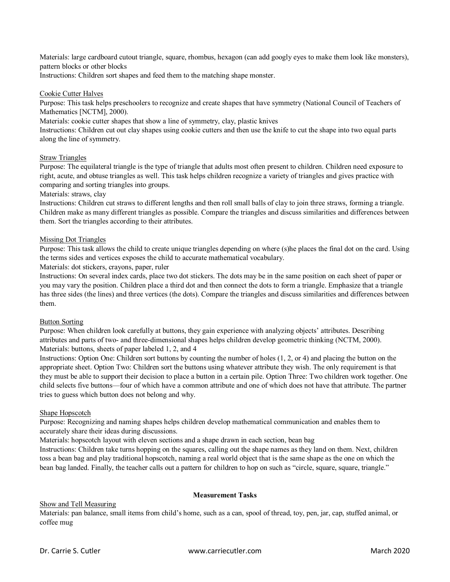Materials: large cardboard cutout triangle, square, rhombus, hexagon (can add googly eyes to make them look like monsters), pattern blocks or other blocks

Instructions: Children sort shapes and feed them to the matching shape monster.

# Cookie Cutter Halves

Purpose: This task helps preschoolers to recognize and create shapes that have symmetry (National Council of Teachers of Mathematics [NCTM], 2000).

Materials: cookie cutter shapes that show a line of symmetry, clay, plastic knives

Instructions: Children cut out clay shapes using cookie cutters and then use the knife to cut the shape into two equal parts along the line of symmetry.

# Straw Triangles

Purpose: The equilateral triangle is the type of triangle that adults most often present to children. Children need exposure to right, acute, and obtuse triangles as well. This task helps children recognize a variety of triangles and gives practice with comparing and sorting triangles into groups.

# Materials: straws, clay

Instructions: Children cut straws to different lengths and then roll small balls of clay to join three straws, forming a triangle. Children make as many different triangles as possible. Compare the triangles and discuss similarities and differences between them. Sort the triangles according to their attributes.

#### Missing Dot Triangles

Purpose: This task allows the child to create unique triangles depending on where (s)he places the final dot on the card. Using the terms sides and vertices exposes the child to accurate mathematical vocabulary.

Materials: dot stickers, crayons, paper, ruler

Instructions: On several index cards, place two dot stickers. The dots may be in the same position on each sheet of paper or you may vary the position. Children place a third dot and then connect the dots to form a triangle. Emphasize that a triangle has three sides (the lines) and three vertices (the dots). Compare the triangles and discuss similarities and differences between them.

# Button Sorting

Purpose: When children look carefully at buttons, they gain experience with analyzing objects' attributes. Describing attributes and parts of two- and three-dimensional shapes helps children develop geometric thinking (NCTM, 2000). Materials: buttons, sheets of paper labeled 1, 2, and 4

Instructions: Option One: Children sort buttons by counting the number of holes (1, 2, or 4) and placing the button on the appropriate sheet. Option Two: Children sort the buttons using whatever attribute they wish. The only requirement is that they must be able to support their decision to place a button in a certain pile. Option Three: Two children work together. One child selects five buttons—four of which have a common attribute and one of which does not have that attribute. The partner tries to guess which button does not belong and why.

# Shape Hopscotch

Purpose: Recognizing and naming shapes helps children develop mathematical communication and enables them to accurately share their ideas during discussions.

Materials: hopscotch layout with eleven sections and a shape drawn in each section, bean bag

Instructions: Children take turns hopping on the squares, calling out the shape names as they land on them. Next, children toss a bean bag and play traditional hopscotch, naming a real world object that is the same shape as the one on which the bean bag landed. Finally, the teacher calls out a pattern for children to hop on such as "circle, square, square, triangle."

# **Measurement Tasks**

# Show and Tell Measuring

Materials: pan balance, small items from child's home, such as a can, spool of thread, toy, pen, jar, cap, stuffed animal, or coffee mug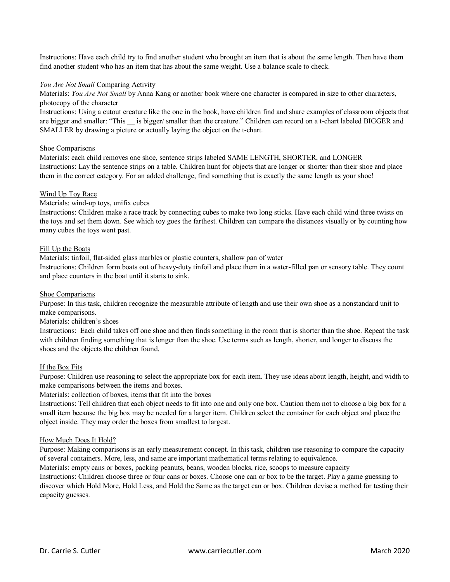Instructions: Have each child try to find another student who brought an item that is about the same length. Then have them find another student who has an item that has about the same weight. Use a balance scale to check.

# *You Are Not Small* Comparing Activity

Materials: *You Are Not Small* by Anna Kang or another book where one character is compared in size to other characters, photocopy of the character

Instructions: Using a cutout creature like the one in the book, have children find and share examples of classroom objects that are bigger and smaller: "This is bigger/ smaller than the creature." Children can record on a t-chart labeled BIGGER and SMALLER by drawing a picture or actually laying the object on the t-chart.

# Shoe Comparisons

Materials: each child removes one shoe, sentence strips labeled SAME LENGTH, SHORTER, and LONGER Instructions: Lay the sentence strips on a table. Children hunt for objects that are longer or shorter than their shoe and place them in the correct category. For an added challenge, find something that is exactly the same length as your shoe!

# Wind Up Toy Race

Materials: wind-up toys, unifix cubes

Instructions: Children make a race track by connecting cubes to make two long sticks. Have each child wind three twists on the toys and set them down. See which toy goes the farthest. Children can compare the distances visually or by counting how many cubes the toys went past.

# Fill Up the Boats

Materials: tinfoil, flat-sided glass marbles or plastic counters, shallow pan of water

Instructions: Children form boats out of heavy-duty tinfoil and place them in a water-filled pan or sensory table. They count and place counters in the boat until it starts to sink.

# Shoe Comparisons

Purpose: In this task, children recognize the measurable attribute of length and use their own shoe as a nonstandard unit to make comparisons.

Materials: children's shoes

Instructions: Each child takes off one shoe and then finds something in the room that is shorter than the shoe. Repeat the task with children finding something that is longer than the shoe. Use terms such as length, shorter, and longer to discuss the shoes and the objects the children found.

# If the Box Fits

Purpose: Children use reasoning to select the appropriate box for each item. They use ideas about length, height, and width to make comparisons between the items and boxes.

Materials: collection of boxes, items that fit into the boxes

Instructions: Tell children that each object needs to fit into one and only one box. Caution them not to choose a big box for a small item because the big box may be needed for a larger item. Children select the container for each object and place the object inside. They may order the boxes from smallest to largest.

# How Much Does It Hold?

Purpose: Making comparisons is an early measurement concept. In this task, children use reasoning to compare the capacity of several containers. More, less, and same are important mathematical terms relating to equivalence.

Materials: empty cans or boxes, packing peanuts, beans, wooden blocks, rice, scoops to measure capacity

Instructions: Children choose three or four cans or boxes. Choose one can or box to be the target. Play a game guessing to discover which Hold More, Hold Less, and Hold the Same as the target can or box. Children devise a method for testing their capacity guesses.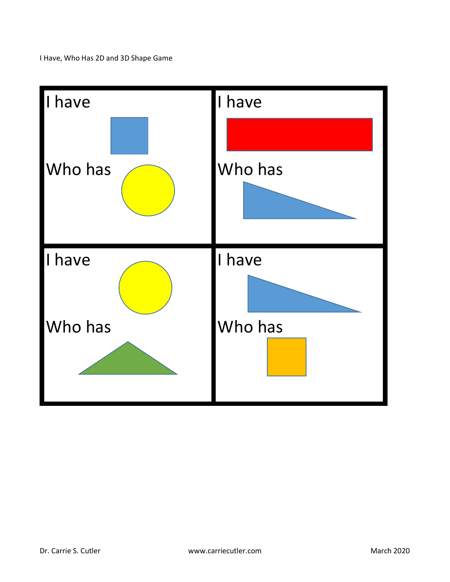I Have, Who Has 2D and 3D Shape Game

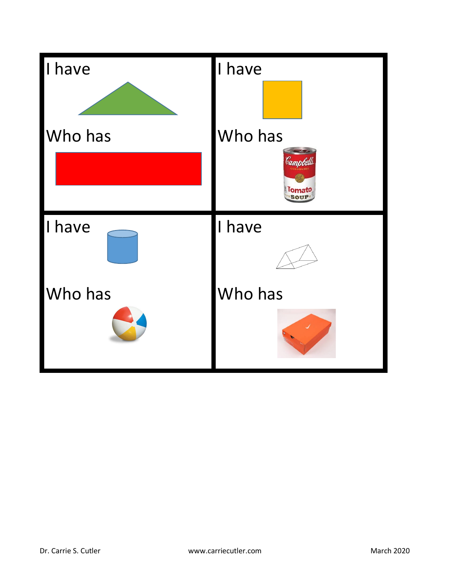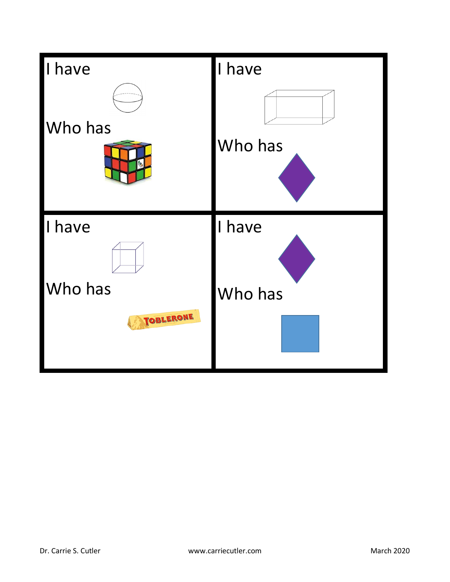